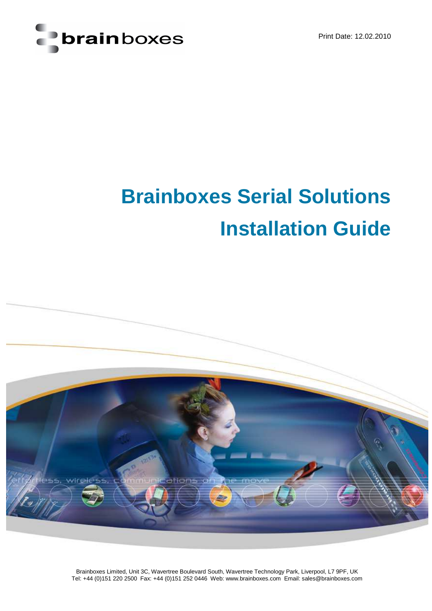



# **Brainboxes Serial Solutions Installation Guide**



Brainboxes Limited, Unit 3C, Wavertree Boulevard South, Wavertree Technology Park, Liverpool, L7 9PF, UK Tel: +44 (0)151 220 2500 Fax: +44 (0)151 252 0446 Web: www.brainboxes.com Email: sales@brainboxes.com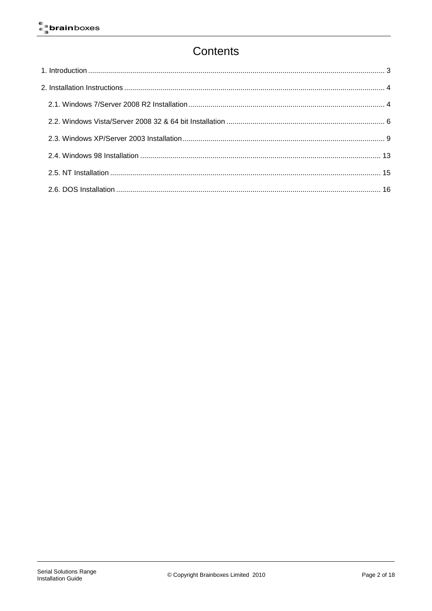# Contents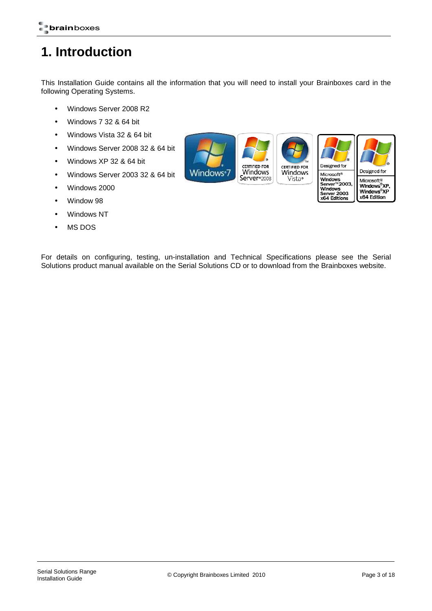# **1. Introduction**

This Installation Guide contains all the information that you will need to install your Brainboxes card in the following Operating Systems.

- Windows Server 2008 R2
- Windows 7 32 & 64 bit
- Windows Vista 32 & 64 bit
- Windows Server 2008 32 & 64 bit
- Windows XP 32 & 64 bit
- Windows Server 2003 32 & 64 bit
- Windows 2000
- Window 98
- Windows NT
- MS DOS



For details on configuring, testing, un-installation and Technical Specifications please see the Serial Solutions product manual available on the Serial Solutions CD or to download from the Brainboxes website.

x64 Edition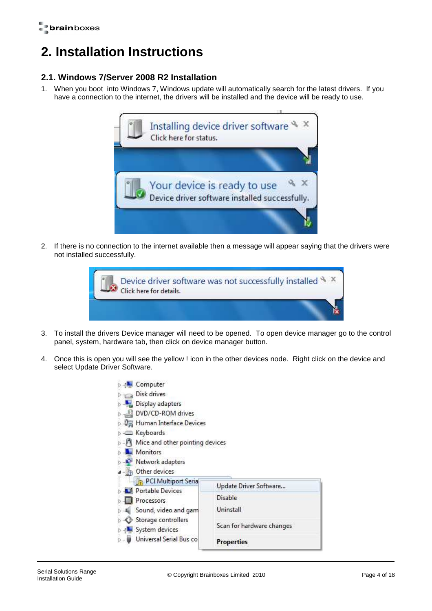# **2. Installation Instructions**

# **2.1. Windows 7/Server 2008 R2 Installation**

1. When you boot into Windows 7, Windows update will automatically search for the latest drivers. If you have a connection to the internet, the drivers will be installed and the device will be ready to use.



2. If there is no connection to the internet available then a message will appear saying that the drivers were not installed successfully.



- 3. To install the drivers Device manager will need to be opened. To open device manager go to the control panel, system, hardware tab, then click on device manager button.
- 4. Once this is open you will see the yellow ! icon in the other devices node. Right click on the device and select Update Driver Software.

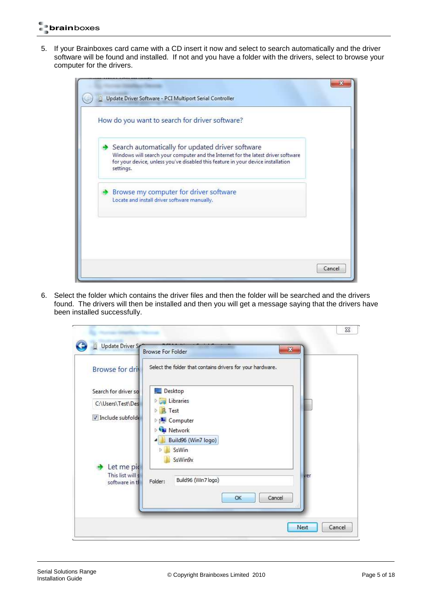5. If your Brainboxes card came with a CD insert it now and select to search automatically and the driver software will be found and installed. If not and you have a folder with the drivers, select to browse your computer for the drivers.



6. Select the folder which contains the driver files and then the folder will be searched and the drivers found. The drivers will then be installed and then you will get a message saying that the drivers have been installed successfully.

| <b>Browse for driv</b>                                        | Select the folder that contains drivers for your hardware.                |        |
|---------------------------------------------------------------|---------------------------------------------------------------------------|--------|
| Search for driver so<br>C:\Users\Test\Des<br>Include subfolde | Desktop<br>Libraries<br>Test<br>Þ<br>Computer<br>Þ<br>Network             |        |
| Let me pic<br>This list will s<br>software in th              | Build96 (Win7 logo)<br>SsWin<br>SsWin9x<br>Build96 (Win7 logo)<br>Folder: | ver    |
|                                                               | OK                                                                        | Cancel |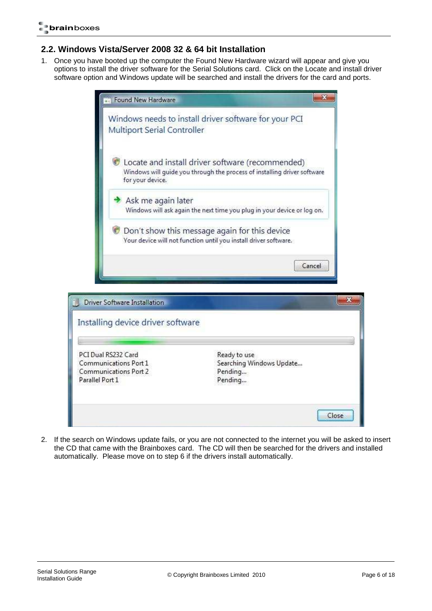# **2.2. Windows Vista/Server 2008 32 & 64 bit Installation**

1. Once you have booted up the computer the Found New Hardware wizard will appear and give you options to install the driver software for the Serial Solutions card. Click on the Locate and install driver software option and Windows update will be searched and install the drivers for the card and ports.

| Multiport Serial Controller                                       | Windows needs to install driver software for your PCI                                                                        |
|-------------------------------------------------------------------|------------------------------------------------------------------------------------------------------------------------------|
| for your device.                                                  | Locate and install driver software (recommended)<br>Windows will quide you through the process of installing driver software |
| Ask me again later                                                | Windows will ask again the next time you plug in your device or log on.                                                      |
|                                                                   | Don't show this message again for this device<br>Your device will not function until you install driver software.            |
|                                                                   | Cancel                                                                                                                       |
|                                                                   |                                                                                                                              |
|                                                                   |                                                                                                                              |
| Driver Software Installation<br>Installing device driver software |                                                                                                                              |

2. If the search on Windows update fails, or you are not connected to the internet you will be asked to insert the CD that came with the Brainboxes card. The CD will then be searched for the drivers and installed automatically. Please move on to step 6 if the drivers install automatically.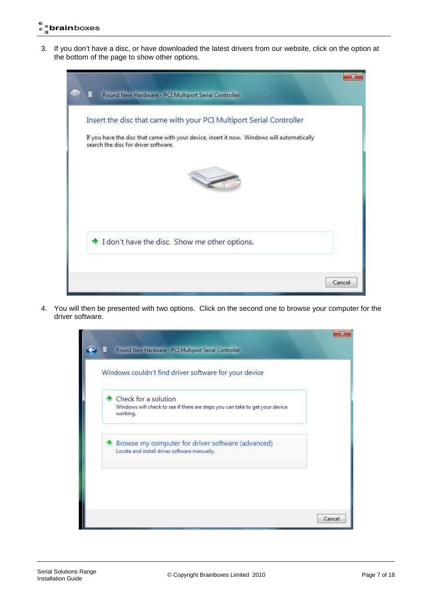3. If you don't have a disc, or have downloaded the latest drivers from our website, click on the option at the bottom of the page to show other options.



4. You will then be presented with two options. Click on the second one to browse your computer for the driver software.

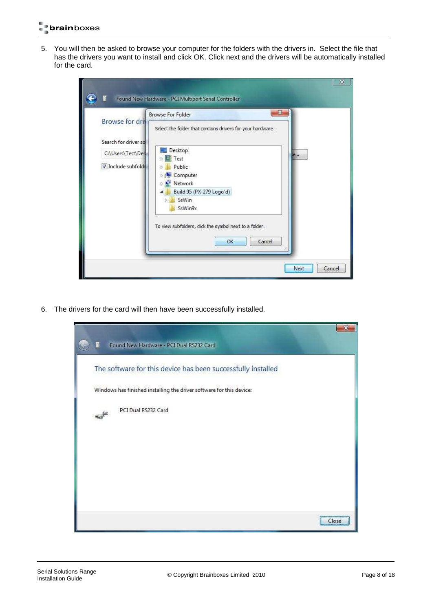5. You will then be asked to browse your computer for the folders with the drivers in. Select the file that has the drivers you want to install and click OK. Click next and the drivers will be automatically installed for the card.

| <b>Browse For Folder</b><br>Browse for driv<br>Select the folder that contains drivers for your hardware.<br>Search for driver so<br>Desktop<br>C:\Users\Test\Des<br><b>D</b> Test<br>Include subfolde<br>Public<br>Computer<br>Network<br>Build 95 (PX-279 Logo'd)<br>SsWin<br>SsWin9x<br>To view subfolders, dick the symbol next to a folder. | $\mathbf{x}$<br>e<br>OK<br>Cancel |
|--------------------------------------------------------------------------------------------------------------------------------------------------------------------------------------------------------------------------------------------------------------------------------------------------------------------------------------------------|-----------------------------------|
|--------------------------------------------------------------------------------------------------------------------------------------------------------------------------------------------------------------------------------------------------------------------------------------------------------------------------------------------------|-----------------------------------|

6. The drivers for the card will then have been successfully installed.

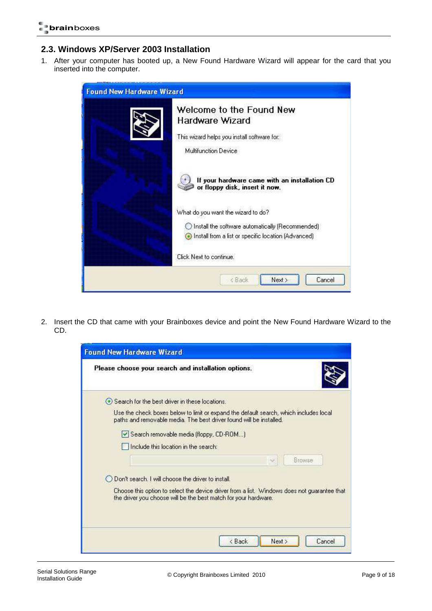# **2.3. Windows XP/Server 2003 Installation**

1. After your computer has booted up, a New Found Hardware Wizard will appear for the card that you inserted into the computer.

| <b>Found New Hardware Wizard</b> |                                                                                                                                                                            |
|----------------------------------|----------------------------------------------------------------------------------------------------------------------------------------------------------------------------|
|                                  | Welcome to the Found New<br>Hardware Wizard<br>This wizard helps you install software for:<br>Multifunction Device                                                         |
|                                  | If your hardware came with an installation CD<br>or floppy disk, insert it now.                                                                                            |
|                                  | What do you want the wizard to do?<br>O Install the software automatically (Recommended)<br>Install from a list or specific location (Advanced)<br>Click Next to continue. |
|                                  | Next ><br>Cancel<br><back< th=""></back<>                                                                                                                                  |

2. Insert the CD that came with your Brainboxes device and point the New Found Hardware Wizard to the CD.

| Please choose your search and installation options.                                                                                                            |
|----------------------------------------------------------------------------------------------------------------------------------------------------------------|
| → Search for the best driver in these locations.                                                                                                               |
| Use the check boxes below to limit or expand the default search, which includes local<br>paths and removable media. The best driver found will be installed.   |
| Search removable media (floppy, CD-ROM)                                                                                                                        |
| Include this location in the search:                                                                                                                           |
| <b>Browse</b>                                                                                                                                                  |
| Don't search. I will choose the driver to install.                                                                                                             |
| Choose this option to select the device driver from a list. Windows does not guarantee that<br>the driver you choose will be the best match for your hardware. |
|                                                                                                                                                                |
| < Back<br>Next ><br>Cancel                                                                                                                                     |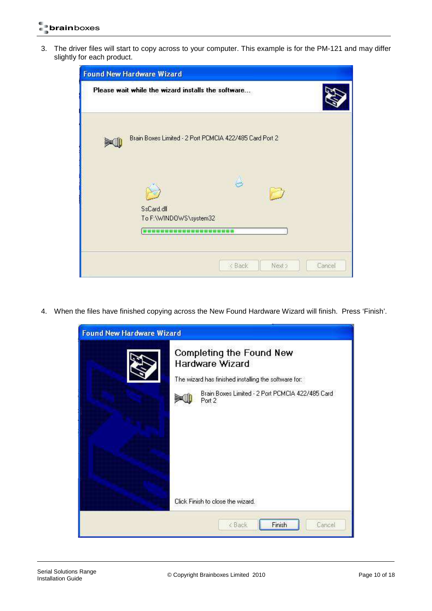3. The driver files will start to copy across to your computer. This example is for the PM-121 and may differ slightly for each product.

| <b>Found New Hardware Wizard</b>                        |                            |
|---------------------------------------------------------|----------------------------|
| Please wait while the wizard installs the software      |                            |
| Brain Boxes Limited - 2 Port PCMCIA 422/485 Card Port 2 |                            |
| SsCard.dll                                              |                            |
| To F:\WINDOWS\system32                                  | Cancel<br>< Back<br>Next > |

4. When the files have finished copying across the New Found Hardware Wizard will finish. Press 'Finish'.

| <b>Found New Hardware Wizard</b> |                                                                                                     |
|----------------------------------|-----------------------------------------------------------------------------------------------------|
|                                  | Completing the Found New<br>Hardware Wizard<br>The wizard has finished installing the software for: |
|                                  | Brain Boxes Limited - 2 Port PCMCIA 422/485 Card<br>Port 2                                          |
|                                  | Click Finish to close the wizard.                                                                   |
|                                  | Finish<br>Cancel<br><back< th=""></back<>                                                           |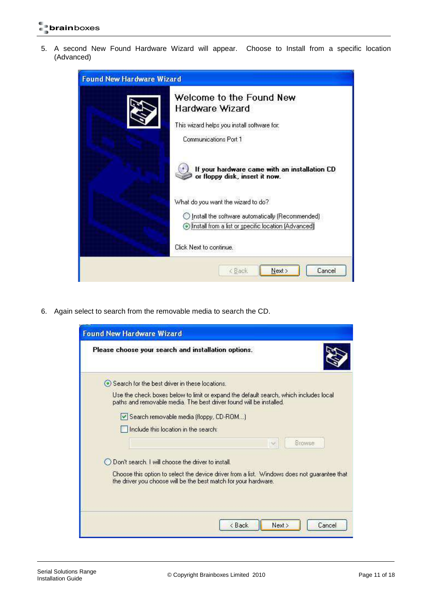5. A second New Found Hardware Wizard will appear. Choose to Install from a specific location (Advanced)



6. Again select to search from the removable media to search the CD.

| <b>Found New Hardware Wizard</b>                                                                                                                               |
|----------------------------------------------------------------------------------------------------------------------------------------------------------------|
| Please choose your search and installation options.                                                                                                            |
| Search for the best driver in these locations.                                                                                                                 |
| Use the check boxes below to limit or expand the default search, which includes local<br>paths and removable media. The best driver found will be installed.   |
| Search removable media (floppy, CD-ROM)                                                                                                                        |
| I Include this location in the search:                                                                                                                         |
| Browse                                                                                                                                                         |
| Don't search, I will choose the driver to install.                                                                                                             |
| Choose this option to select the device driver from a list. Windows does not guarantee that<br>the driver you choose will be the best match for your hardware. |
| < Back<br>Next ><br>Cancel                                                                                                                                     |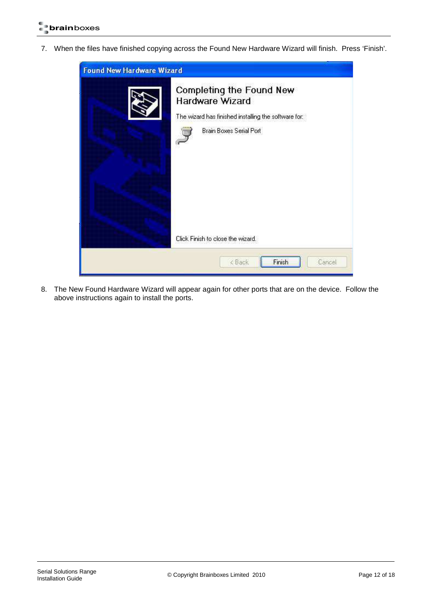7. When the files have finished copying across the Found New Hardware Wizard will finish. Press 'Finish'.



8. The New Found Hardware Wizard will appear again for other ports that are on the device. Follow the above instructions again to install the ports.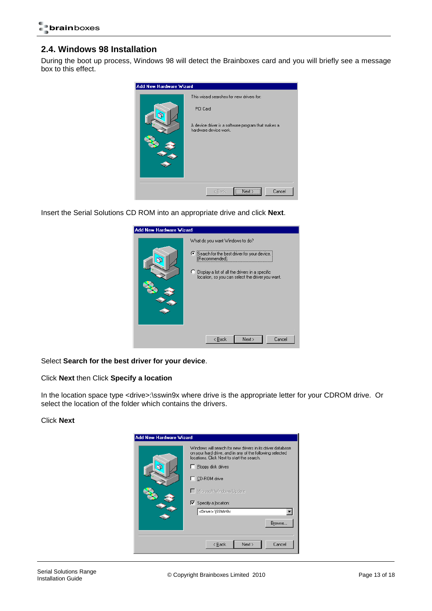## **2.4. Windows 98 Installation**

During the boot up process, Windows 98 will detect the Brainboxes card and you will briefly see a message box to this effect.



Insert the Serial Solutions CD ROM into an appropriate drive and click **Next**.



#### Select **Search for the best driver for your device**.

#### Click **Next** then Click **Specify a location**

In the location space type <drive>:\sswin9x where drive is the appropriate letter for your CDROM drive. Or select the location of the folder which contains the drivers.

#### Click **Next**

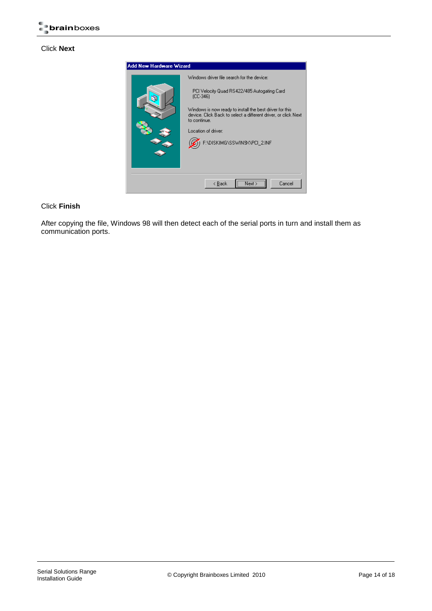#### Click **Next**



#### Click **Finish**

After copying the file, Windows 98 will then detect each of the serial ports in turn and install them as communication ports.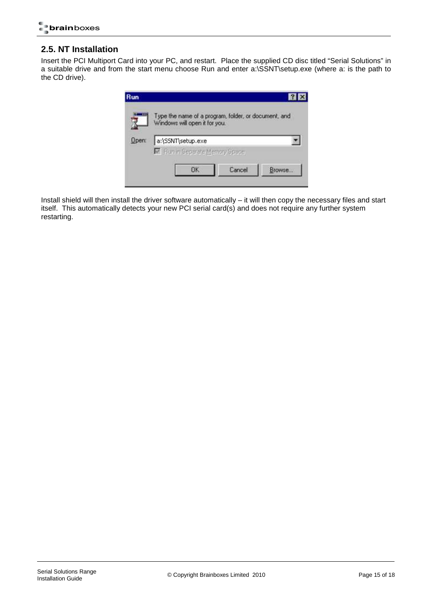## **2.5. NT Installation**

Insert the PCI Multiport Card into your PC, and restart. Place the supplied CD disc titled "Serial Solutions" in a suitable drive and from the start menu choose Run and enter a:\SSNT\setup.exe (where a: is the path to the CD drive).



Install shield will then install the driver software automatically – it will then copy the necessary files and start itself. This automatically detects your new PCI serial card(s) and does not require any further system restarting.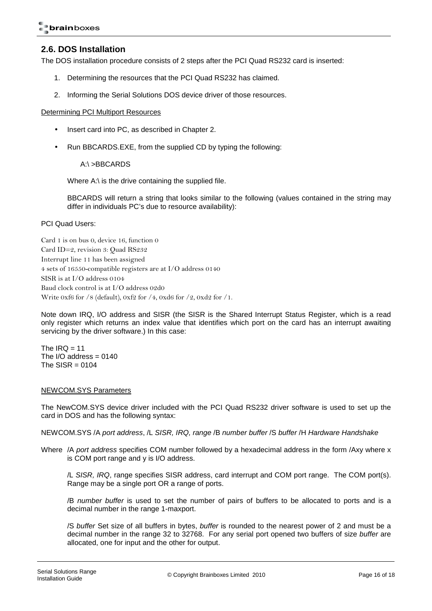### **2.6. DOS Installation**

The DOS installation procedure consists of 2 steps after the PCI Quad RS232 card is inserted:

- 1. Determining the resources that the PCI Quad RS232 has claimed.
- 2. Informing the Serial Solutions DOS device driver of those resources.

#### Determining PCI Multiport Resources

- Insert card into PC, as described in Chapter 2.
- Run BBCARDS.EXE, from the supplied CD by typing the following:

A:\ >BBCARDS

Where A:\ is the drive containing the supplied file.

BBCARDS will return a string that looks similar to the following (values contained in the string may differ in individuals PC's due to resource availability):

PCI Quad Users:

Card 1 is on bus 0, device 16, function 0 Card ID=2, revision 3: Quad RS232 Interrupt line 11 has been assigned 4 sets of 16550-compatible registers are at I/O address 0140 SISR is at I/O address 0104 Baud clock control is at I/O address 02d0 Write 0xf6 for /8 (default), 0xf2 for /4, 0xd6 for /2, 0xd2 for /1.

Note down IRQ, I/O address and SISR (the SISR is the Shared Interrupt Status Register, which is a read only register which returns an index value that identifies which port on the card has an interrupt awaiting servicing by the driver software.) In this case:

The  $IRQ = 11$ The I/O address  $= 0140$ The  $SISR = 0104$ 

#### NEWCOM.SYS Parameters

The NewCOM.SYS device driver included with the PCI Quad RS232 driver software is used to set up the card in DOS and has the following syntax:

NEWCOM.SYS /A port address, /L SISR, IRQ, range /B number buffer /S buffer /H Hardware Handshake

Where /A port address specifies COM number followed by a hexadecimal address in the form /Axy where x is COM port range and y is I/O address.

/L SISR, IRQ, range specifies SISR address, card interrupt and COM port range. The COM port(s). Range may be a single port OR a range of ports.

/B number buffer is used to set the number of pairs of buffers to be allocated to ports and is a decimal number in the range 1-maxport.

/S buffer Set size of all buffers in bytes, buffer is rounded to the nearest power of 2 and must be a decimal number in the range 32 to 32768. For any serial port opened two buffers of size buffer are allocated, one for input and the other for output.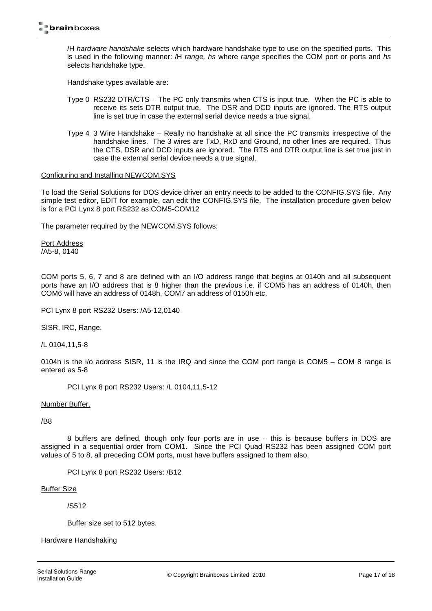/H hardware handshake selects which hardware handshake type to use on the specified ports. This is used in the following manner: /H range, hs where range specifies the COM port or ports and hs selects handshake type.

Handshake types available are:

- Type 0 RS232 DTR/CTS The PC only transmits when CTS is input true. When the PC is able to receive its sets DTR output true. The DSR and DCD inputs are ignored. The RTS output line is set true in case the external serial device needs a true signal.
- Type 4 3 Wire Handshake Really no handshake at all since the PC transmits irrespective of the handshake lines. The 3 wires are TxD, RxD and Ground, no other lines are required. Thus the CTS, DSR and DCD inputs are ignored. The RTS and DTR output line is set true just in case the external serial device needs a true signal.

#### Configuring and Installing NEWCOM.SYS

To load the Serial Solutions for DOS device driver an entry needs to be added to the CONFIG.SYS file. Any simple test editor, EDIT for example, can edit the CONFIG.SYS file. The installation procedure given below is for a PCI Lynx 8 port RS232 as COM5-COM12

The parameter required by the NEWCOM.SYS follows:

Port Address /A5-8, 0140

COM ports 5, 6, 7 and 8 are defined with an I/O address range that begins at 0140h and all subsequent ports have an I/O address that is 8 higher than the previous i.e. if COM5 has an address of 0140h, then COM6 will have an address of 0148h, COM7 an address of 0150h etc.

PCI Lynx 8 port RS232 Users: /A5-12,0140

SISR, IRC, Range.

/L 0104,11,5-8

0104h is the i/o address SISR, 11 is the IRQ and since the COM port range is COM5 – COM 8 range is entered as 5-8

PCI Lynx 8 port RS232 Users: /L 0104,11,5-12

Number Buffer.

/B8

 8 buffers are defined, though only four ports are in use – this is because buffers in DOS are assigned in a sequential order from COM1. Since the PCI Quad RS232 has been assigned COM port values of 5 to 8, all preceding COM ports, must have buffers assigned to them also.

PCI Lynx 8 port RS232 Users: /B12

Buffer Size

/S512

Buffer size set to 512 bytes.

Hardware Handshaking